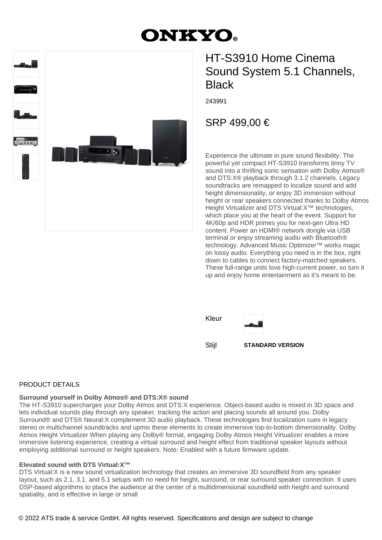# **DNKYO.**



# HT-S3910 Home Cinema Sound System 5.1 Channels, **Black**

243991

## SRP 499,00 €

Experience the ultimate in pure sound flexibility. The powerful yet compact HT-S3910 transforms tinny TV sound into a thrilling sonic sensation with Dolby Atmos<sup>®</sup> and DTS:X® playback through 3.1.2 channels. Legacy soundtracks are remapped to localize sound and add height dimensionality, or enjoy 3D immersion without height or rear speakers connected thanks to Dolby Atmos Height Virtualizer and DTS Virtual:X™ technologies, which place you at the heart of the event. Support for 4K/60p and HDR primes you for next-gen Ultra HD content. Power an HDMI® network dongle via USB terminal or enjoy streaming audio with Bluetooth® technology. Advanced Music Optimizer™ works magic on lossy audio. Everything you need is in the box, right down to cables to connect factory-matched speakers. These full-range units love high-current power, so turn it up and enjoy home entertainment as it's meant to be.

Kleur



Stijl **STANDARD VERSION**

#### PRODUCT DETAILS

#### **Surround yourself in Dolby Atmos® and DTS:X® sound**

The HT-S3910 supercharges your Dolby Atmos and DTS:X experience. Object-based audio is mixed in 3D space and lets individual sounds play through any speaker, tracking the action and placing sounds all around you. Dolby Surround® and DTS® Neural:X complement 3D audio playback. These technologies find localization cues in legacy stereo or multichannel soundtracks and upmix these elements to create immersive top-to-bottom dimensionality. Dolby Atmos Height Virtualizer When playing any Dolby® format, engaging Dolby Atmos Height Virtualizer enables a more immersive listening experience, creating a virtual surround and height effect from traditional speaker layouts without employing additional surround or height speakers. Note: Enabled with a future firmware update.

#### **Elevated sound with DTS Virtual:X™**

DTS Virtual:X is a new sound virtualization technology that creates an immersive 3D soundfield from any speaker layout, such as 2.1, 3.1, and 5.1 setups with no need for height, surround, or rear surround speaker connection. It uses DSP-based algorithms to place the audience at the center of a multidimensional soundfield with height and surround spatiality, and is effective in large or small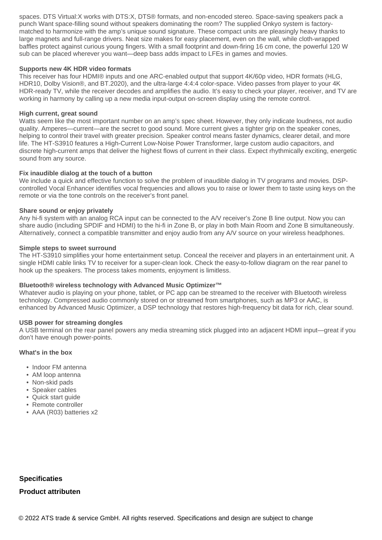spaces. DTS Virtual:X works with DTS:X, DTS® formats, and non-encoded stereo. Space-saving speakers pack a punch Want space-filling sound without speakers dominating the room? The supplied Onkyo system is factorymatched to harmonize with the amp's unique sound signature. These compact units are pleasingly heavy thanks to large magnets and full-range drivers. Neat size makes for easy placement, even on the wall, while cloth-wrapped baffles protect against curious young fingers. With a small footprint and down-firing 16 cm cone, the powerful 120 W sub can be placed wherever you want—deep bass adds impact to LFEs in games and movies.

#### **Supports new 4K HDR video formats**

This receiver has four HDMI® inputs and one ARC-enabled output that support 4K/60p video, HDR formats (HLG, HDR10, Dolby Vision®, and BT.2020), and the ultra-large 4:4:4 color-space. Video passes from player to your 4K HDR-ready TV, while the receiver decodes and amplifies the audio. It's easy to check your player, receiver, and TV are working in harmony by calling up a new media input-output on-screen display using the remote control.

#### **High current, great sound**

Watts seem like the most important number on an amp's spec sheet. However, they only indicate loudness, not audio quality. Amperes—current—are the secret to good sound. More current gives a tighter grip on the speaker cones, helping to control their travel with greater precision. Speaker control means faster dynamics, clearer detail, and more life. The HT-S3910 features a High-Current Low-Noise Power Transformer, large custom audio capacitors, and discrete high-current amps that deliver the highest flows of current in their class. Expect rhythmically exciting, energetic sound from any source.

#### **Fix inaudible dialog at the touch of a button**

We include a quick and effective function to solve the problem of inaudible dialog in TV programs and movies. DSPcontrolled Vocal Enhancer identifies vocal frequencies and allows you to raise or lower them to taste using keys on the remote or via the tone controls on the receiver's front panel.

#### **Share sound or enjoy privately**

Any hi-fi system with an analog RCA input can be connected to the A/V receiver's Zone B line output. Now you can share audio (including SPDIF and HDMI) to the hi-fi in Zone B, or play in both Main Room and Zone B simultaneously. Alternatively, connect a compatible transmitter and enjoy audio from any A/V source on your wireless headphones.

#### **Simple steps to sweet surround**

The HT-S3910 simplifies your home entertainment setup. Conceal the receiver and players in an entertainment unit. A single HDMI cable links TV to receiver for a super-clean look. Check the easy-to-follow diagram on the rear panel to hook up the speakers. The process takes moments, enjoyment is limitless.

#### **Bluetooth® wireless technology with Advanced Music Optimizer™**

Whatever audio is playing on your phone, tablet, or PC app can be streamed to the receiver with Bluetooth wireless technology. Compressed audio commonly stored on or streamed from smartphones, such as MP3 or AAC, is enhanced by Advanced Music Optimizer, a DSP technology that restores high-frequency bit data for rich, clear sound.

#### **USB power for streaming dongles**

A USB terminal on the rear panel powers any media streaming stick plugged into an adjacent HDMI input—great if you don't have enough power-points.

#### **What's in the box**

- Indoor FM antenna
- AM loop antenna
- Non-skid pads
- Speaker cables
- Quick start guide
- Remote controller
- AAA (R03) batteries x2

### **Specificaties Product attributen**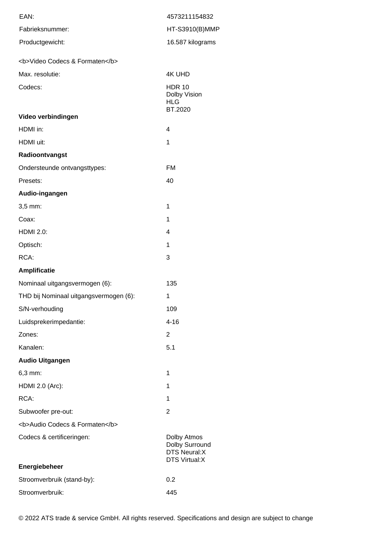| EAN:                                   | 4573211154832                                                                |
|----------------------------------------|------------------------------------------------------------------------------|
| Fabrieksnummer:                        | HT-S3910(B)MMP                                                               |
| Productgewicht:                        | 16.587 kilograms                                                             |
| <b>Video Codecs &amp; Formaten</b>     |                                                                              |
| Max. resolutie:                        | <b>4K UHD</b>                                                                |
| Codecs:                                | <b>HDR 10</b><br>Dolby Vision<br><b>HLG</b>                                  |
| Video verbindingen                     | BT.2020                                                                      |
| HDMI in:                               | 4                                                                            |
| HDMI uit:                              | 1                                                                            |
| Radioontvangst                         |                                                                              |
| Ondersteunde ontvangsttypes:           | <b>FM</b>                                                                    |
| Presets:                               | 40                                                                           |
| Audio-ingangen                         |                                                                              |
| 3,5 mm:                                | 1                                                                            |
| Coax:                                  | 1                                                                            |
| <b>HDMI 2.0:</b>                       | 4                                                                            |
| Optisch:                               | 1                                                                            |
| RCA:                                   | 3                                                                            |
| <b>Amplificatie</b>                    |                                                                              |
| Nominaal uitgangsvermogen (6):         | 135                                                                          |
| THD bij Nominaal uitgangsvermogen (6): | 1                                                                            |
| S/N-verhouding                         | 109                                                                          |
| Luidsprekerimpedantie:                 | $4 - 16$                                                                     |
| Zones:                                 | 2                                                                            |
| Kanalen:                               | 5.1                                                                          |
| <b>Audio Uitgangen</b>                 |                                                                              |
| 6,3 mm:                                | 1                                                                            |
| HDMI 2.0 (Arc):                        | 1                                                                            |
| RCA:                                   | 1                                                                            |
| Subwoofer pre-out:                     | 2                                                                            |
| <b>Audio Codecs &amp; Formaten</b>     |                                                                              |
| Codecs & certificeringen:              | Dolby Atmos<br>Dolby Surround<br><b>DTS Neural:X</b><br><b>DTS Virtual:X</b> |
| Energiebeheer                          |                                                                              |
| Stroomverbruik (stand-by):             | 0.2                                                                          |
| Stroomverbruik:                        | 445                                                                          |